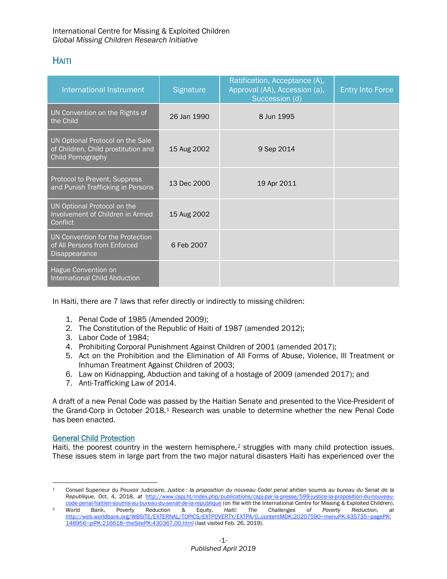# **HAITI**

| International Instrument                                                                     | <b>Signature</b> | Ratification, Acceptance (A),<br>Approval (AA), Accession (a),<br>Succession (d) | <b>Entry Into Force</b> |
|----------------------------------------------------------------------------------------------|------------------|----------------------------------------------------------------------------------|-------------------------|
| UN Convention on the Rights of<br>the Child                                                  | 26 Jan 1990      | 8 Jun 1995                                                                       |                         |
| UN Optional Protocol on the Sale<br>of Children, Child prostitution and<br>Child Pornography | 15 Aug 2002      | 9 Sep 2014                                                                       |                         |
| Protocol to Prevent, Suppress<br>and Punish Trafficking in Persons                           | 13 Dec 2000      | 19 Apr 2011                                                                      |                         |
| UN Optional Protocol on the<br>Involvement of Children in Armed<br>Conflict                  | 15 Aug 2002      |                                                                                  |                         |
| UN Convention for the Protection<br>of All Persons from Enforced<br><b>Disappearance</b>     | 6 Feb 2007       |                                                                                  |                         |
| Hague Convention on<br><b>International Child Abduction</b>                                  |                  |                                                                                  |                         |

In Haiti, there are 7 laws that refer directly or indirectly to missing children:

- 1. Penal Code of 1985 (Amended 2009);
- 2. The Constitution of the Republic of Haiti of 1987 (amended 2012);
- 3. Labor Code of 1984;
- 4. Prohibiting Corporal Punishment Against Children of 2001 (amended 2017);
- 5. Act on the Prohibition and the Elimination of All Forms of Abuse, Violence, Ill Treatment or Inhuman Treatment Against Children of 2003;
- 6. Law on Kidnapping, Abduction and taking of a hostage of 2009 (amended 2017); and
- 7. Anti-Trafficking Law of 2014.

A draft of a new Penal Code was passed by the Haitian Senate and presented to the Vice-President of the Grand-Corp in October 2018.[1](#page-0-0) Research was unable to determine whether the new Penal Code has been enacted.

# General Child Protection

 $\overline{\phantom{a}}$ 

Haiti, the poorest country in the western hemisphere,<sup>[2](#page-0-1)</sup> struggles with many child protection issues. These issues stem in large part from the two major natural disasters Haiti has experienced over the

<span id="page-0-0"></span><sup>1</sup> Conseil Superieur du Pouvoir Judiciaire, *Justice : la proposition du nouveau Codel penal ahitien soumis au bureau du Senat de la Republique*, Oct. 4, 2018, *at* http://www.cspj.ht/index.php/publications/cspj-par-la-presse/599-justice-la-proposition-du-nouveau-

<span id="page-0-1"></span>code-penal-haitien-soumis-au-bureau-du-senat-de-la-republique (on file with the International Centre for Missing & Exploited Children).<br>World Bank, Poverty Reduction & Equity, Haiti: The Challenges of Poverty Reduction, at <sup>2</sup> World Bank, Poverty Reduction & Equity, *Haiti: The Challenges of Poverty Reduction*, *at*  [http://web.worldbank.org/WBSITE/EXTERNAL/TOPICS/EXTPOVERTY/EXTPA/0,,contentMDK:20207590~menuPK:435735~pagePK:](http://web.worldbank.org/WBSITE/EXTERNAL/TOPICS/EXTPOVERTY/EXTPA/0,,contentMDK:20207590%7EmenuPK:435735%7EpagePK:148956%7EpiPK:216618%7EtheSitePK:430367,00.html) [148956~piPK:216618~theSitePK:430367,00.html](http://web.worldbank.org/WBSITE/EXTERNAL/TOPICS/EXTPOVERTY/EXTPA/0,,contentMDK:20207590%7EmenuPK:435735%7EpagePK:148956%7EpiPK:216618%7EtheSitePK:430367,00.html) (last visited Feb. 26, 2019).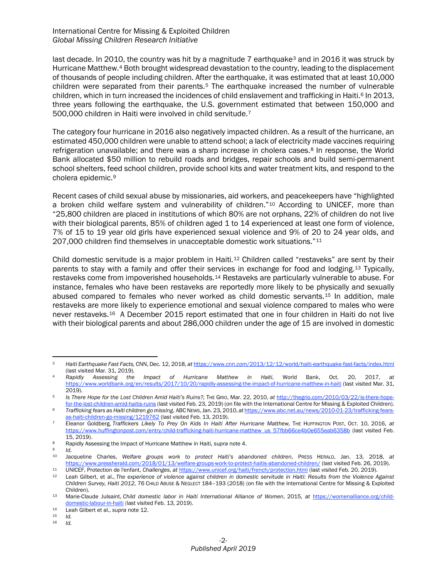# International Centre for Missing & Exploited Children *Global Missing Children Research Initiative*

last decade. In 2010, the country was hit by a magnitude 7 earthquake<sup>[3](#page-1-0)</sup> and in 2016 it was struck by Hurricane Matthew[.4](#page-1-1) Both brought widespread devastation to the country, leading to the displacement of thousands of people including children. After the earthquake, it was estimated that at least 10,000 children were separated from their parents.<sup>[5](#page-1-2)</sup> The earthquake increased the number of vulnerable children, which in turn increased the incidences of child enslavement and trafficking in Haiti.<sup>[6](#page-1-3)</sup> In 2013, three years following the earthquake, the U.S. government estimated that between 150,000 and 500,000 children in Haiti were involved in child servitude.[7](#page-1-4)

The category four hurricane in 2016 also negatively impacted children. As a result of the hurricane, an estimated 450,000 children were unable to attend school; a lack of electricity made vaccines requiring refrigeration unavailable; and there was a sharp increase in cholera cases.<sup>[8](#page-1-5)</sup> In response, the World Bank allocated \$50 million to rebuild roads and bridges, repair schools and build semi-permanent school shelters, feed school children, provide school kits and water treatment kits, and respond to the cholera epidemic.[9](#page-1-6)

Recent cases of child sexual abuse by missionaries, aid workers, and peacekeepers have "highlighted a broken child welfare system and vulnerability of children."[10](#page-1-7) According to UNICEF, more than "25,800 children are placed in institutions of which 80% are not orphans, 22% of children do not live with their biological parents, 85% of children aged 1 to 14 experienced at least one form of violence, 7% of 15 to 19 year old girls have experienced sexual violence and 9% of 20 to 24 year olds, and 207,000 children find themselves in unacceptable domestic work situations."[11](#page-1-8)

Child domestic servitude is a major problem in Haiti.[12](#page-1-9) Children called "restaveks" are sent by their parents to stay with a family and offer their services in exchange for food and lodging.[13](#page-1-10) Typically, restaveks come from impoverished households.[14](#page-1-11) Restaveks are particularly vulnerable to abuse. For instance, females who have been restaveks are reportedly more likely to be physically and sexually abused compared to females who never worked as child domestic servants.[15](#page-1-12) In addition, male restaveks are more likely to experience emotional and sexual violence compared to males who were never restaveks.[16](#page-1-13) A December 2015 report estimated that one in four children in Haiti do not live with their biological parents and about 286,000 children under the age of 15 are involved in domestic

<span id="page-1-3"></span><sup>6</sup> *Trafficking fears as Haiti children go missing*, ABCNEWS,Jan. 23, 2010, *at* [https://www.abc.net.au/news/2010-01-23/trafficking-fears](https://www.abc.net.au/news/2010-01-23/trafficking-fears-as-haiti-children-go-missing/1219762)[as-haiti-children-go-missing/1219762](https://www.abc.net.au/news/2010-01-23/trafficking-fears-as-haiti-children-go-missing/1219762) (last visited Feb. 13, 2019).

<span id="page-1-7"></span><span id="page-1-6"></span><sup>9</sup> *Id.*

l

<span id="page-1-0"></span><sup>3</sup> *Haiti Earthquake Fast Facts,* CNN, Dec. 12, 2018, *at* <https://www.cnn.com/2013/12/12/world/haiti-earthquake-fast-facts/index.html> (last visited Mar. 31, 2019).

<span id="page-1-1"></span><sup>4</sup> *Rapidly Assessing the Impact of Hurricane Matthew in Haiti*, World Bank, Oct. 20, 2017, *at*  <https://www.worldbank.org/en/results/2017/10/20/rapidly-assessing-the-impact-of-hurricane-matthew-in-haiti> (last visited Mar. 31, 2019).

<span id="page-1-2"></span><sup>5</sup> *Is There Hope for the Lost Children Amid Haiti's Ruins?,* THE GRIO, Mar. 22, 2010, *at* [http://thegrio.com/2010/03/22/is-there-hope](http://thegrio.com/2010/03/22/is-there-hope-for-the-lost-children-amid-haitis-ruins)[for-the-lost-children-amid-haitis-ruins](http://thegrio.com/2010/03/22/is-there-hope-for-the-lost-children-amid-haitis-ruins) (last visited Feb. 23, 2019) (on file with the International Centre for Missing & Exploited Children).

<span id="page-1-4"></span><sup>7</sup> Eleanor Goldberg, *Traffickers Likely To Prey On Kids In Haiti After Hurricane Matthew,* THE HUFFINGTON POST, OCT. 10, 2016, *at*  [https://www.huffingtonpost.com/entry/child-trafficking-haiti-hurricane-matthew\\_us\\_57fbb66ce4b0e655eab6358b](https://www.huffingtonpost.com/entry/child-trafficking-haiti-hurricane-matthew_us_57fbb66ce4b0e655eab6358b) (last visited Feb. 15, 2019).

<span id="page-1-5"></span><sup>8</sup> Rapidly Assessing the Impact of Hurricane Matthew in Haiti, *supra* note 4.

<sup>10</sup> Jacqueline Charles, *Welfare groups work to protect Haiti's abandoned children*, PRESS HERALD, Jan. 13, 2018, *at*  <https://www.pressherald.com/2018/01/13/welfare-groups-work-to-protect-haitis-abandoned-children/> (last visited Feb. 26, 2019).

<span id="page-1-9"></span><span id="page-1-8"></span><sup>11</sup> UNICEF, Protection de l'enfant, *Challenges*, *at* <https://www.unicef.org/haiti/french/protection.html> (last visited Feb. 20, 2019). <sup>12</sup> Leah Gilbert, et al., *The experience of violence against children in domestic servitude in Haiti: Results from the Violence Against* 

*Children Survey, Haiti 2012*, 76 CHILD ABUSE & NEGLECT 184–193 (2018) (on file with the International Centre for Missing & Exploited Children). <sup>13</sup> Marie-Claude Julsaint, *Child domestic labor in Haiti International Alliance of Women*, 2015, *at* [https://womenalliance.org/child-](https://womenalliance.org/child-domestic-labour-in-haiti)

<span id="page-1-10"></span>[domestic-labour-in-haiti](https://womenalliance.org/child-domestic-labour-in-haiti) (last visited Feb. 13, 2019).

<span id="page-1-11"></span><sup>14</sup> Leah Gilbert et al., *supra* note 12.

<span id="page-1-13"></span><span id="page-1-12"></span><sup>15</sup> *Id.*

<sup>16</sup> *Id.*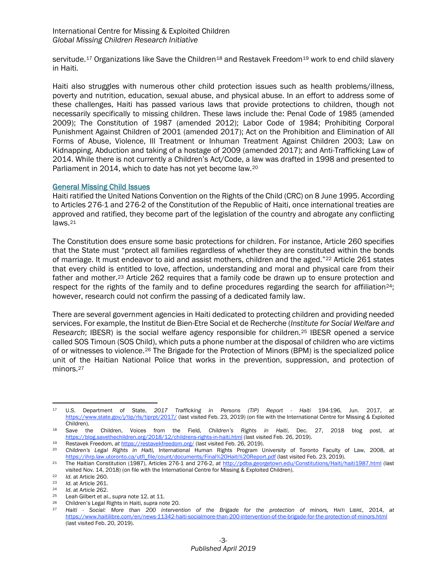servitude.<sup>[17](#page-2-0)</sup> Organizations like Save the Children<sup>18</sup> and Restavek Freedom<sup>[19](#page-2-2)</sup> work to end child slavery in Haiti.

Haiti also struggles with numerous other child protection issues such as health problems/illness, poverty and nutrition, education, sexual abuse, and physical abuse. In an effort to address some of these challenges, Haiti has passed various laws that provide protections to children, though not necessarily specifically to missing children. These laws include the: Penal Code of 1985 (amended 2009); The Constitution of 1987 (amended 2012); Labor Code of 1984; Prohibiting Corporal Punishment Against Children of 2001 (amended 2017); Act on the Prohibition and Elimination of All Forms of Abuse, Violence, Ill Treatment or Inhuman Treatment Against Children 2003; Law on Kidnapping, Abduction and taking of a hostage of 2009 (amended 2017); and Anti-Trafficking Law of 2014. While there is not currently a Children's Act/Code, a law was drafted in 1998 and presented to Parliament in 2014, which to date has not yet become law[.20](#page-2-3) 

#### General Missing Child Issues

Haiti ratified the United Nations Convention on the Rights of the Child (CRC) on 8 June 1995. According to Articles 276-1 and 276-2 of the Constitution of the Republic of Haiti, once international treaties are approved and ratified, they become part of the legislation of the country and abrogate any conflicting laws.[21](#page-2-4)

The Constitution does ensure some basic protections for children. For instance, Article 260 specifies that the State must "protect all families regardless of whether they are constituted within the bonds of marriage. It must endeavor to aid and assist mothers, children and the aged."[22](#page-2-5) Article 261 states that every child is entitled to love, affection, understanding and moral and physical care from their father and mother[.23](#page-2-6) Article 262 requires that a family code be drawn up to ensure protection and respect for the rights of the family and to define procedures regarding the search for affiliation<sup>[24](#page-2-7)</sup>; however, research could not confirm the passing of a dedicated family law.

There are several government agencies in Haiti dedicated to protecting children and providing needed services. For example, the Institut de Bien-Etre Social et de Recherche (*Institute for Social Welfare and Research*; IBESR) is the social welfare agency responsible for children.[25](#page-2-8) IBESR opened a service called SOS Timoun (SOS Child), which puts a phone number at the disposal of children who are victims of or witnesses to violence.[26](#page-2-9) The Brigade for the Protection of Minors (BPM) is the specialized police unit of the Haitian National Police that works in the prevention, suppression, and protection of minors.[27](#page-2-10)

<span id="page-2-8"></span><span id="page-2-7"></span> $^{24}$  *Id.* at Article 262.<br> $^{25}$  Leah Gilbert et al., supra note 12, at 11.

<span id="page-2-0"></span> $17$ <sup>17</sup> U.S. Department of State, *2017 Trafficking in Persons (TIP) Report - Haiti* 194-196, Jun. 2017, *at*  <https://www.state.gov/j/tip/rls/tiprpt/2017/> (last visited Feb. 23, 2019) (on file with the International Centre for Missing & Exploited Children).

<span id="page-2-1"></span><sup>18</sup> Save the Children, Voices from the Field, *Children's Rights in Haiti*, Dec. 27, 2018 blog post, *at*  <https://blog.savethechildren.org/2018/12/childrens-rights-in-haiti.html> (last visited Feb. 26, 2019).

<span id="page-2-2"></span><sup>19</sup> Restavek Freedom, *at* <https://restavekfreedom.org/> (last visited Feb. 26, 2019).

<span id="page-2-3"></span><sup>20</sup> *Children's Legal Rights in Haiti,* International Human Rights Program University of Toronto Faculty of Law, 2008, *at* [https://ihrp.law.utoronto.ca/utfl\\_file/count/documents/Final%20Haiti%20Report.pdf](https://ihrp.law.utoronto.ca/utfl_file/count/documents/Final%20Haiti%20Report.pdf) (last visited Feb. 23, 2019).

<span id="page-2-4"></span><sup>21</sup> The Haitian Constitution (1987), Articles 276-1 and 276-2, *at* <http://pdba.georgetown.edu/Constitutions/Haiti/haiti1987.html> (last visited Nov. 14, 2018) (on file with the International Centre for Missing & Exploited Children).

<span id="page-2-5"></span><sup>22</sup> *Id.* at Article 260.<br>23 *Id.* at Article 261

<span id="page-2-6"></span><sup>23</sup> *Id*. at Article 261.

<span id="page-2-10"></span><span id="page-2-9"></span><sup>&</sup>lt;sup>26</sup> Children's Legal Rights in Haiti, supra note 20.<br><sup>27</sup> Haiti - Social: More than 200 intervention of the Brigade for the protection of minors, HAITI LIBRE, 2014, at <https://www.haitilibre.com/en/news-11342-haiti-socialmore-than-200-intervention-of-the-brigade-for-the-protection-of-minors.html> (last visited Feb. 20, 2019).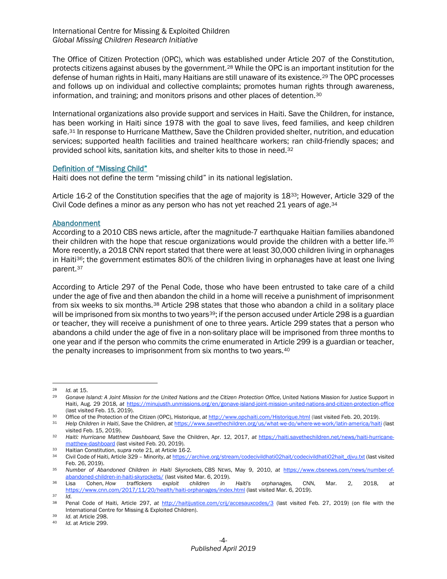International Centre for Missing & Exploited Children *Global Missing Children Research Initiative*

The Office of Citizen Protection (OPC), which was established under Article 207 of the Constitution, protects citizens against abuses by the government.[28](#page-3-0) While the OPC is an important institution for the defense of human rights in Haiti, many Haitians are still unaware of its existence.[29](#page-3-1) The OPC processes and follows up on individual and collective complaints; promotes human rights through awareness, information, and training; and monitors prisons and other places of detention.[30](#page-3-2)

International organizations also provide support and services in Haiti. Save the Children, for instance, has been working in Haiti since 1978 with the goal to save lives, feed families, and keep children safe.<sup>[31](#page-3-3)</sup> In response to Hurricane Matthew, Save the Children provided shelter, nutrition, and education services; supported health facilities and trained healthcare workers; ran child-friendly spaces; and provided school kits, sanitation kits, and shelter kits to those in need.[32](#page-3-4)

## Definition of "Missing Child"

Haiti does not define the term "missing child" in its national legislation.

Article 16-2 of the Constitution specifies that the age of majority is 18<sup>33</sup>; However, Article 329 of the Civil Code defines a minor as any person who has not yet reached 21 years of age.[34](#page-3-6)

## Abandonment

According to a 2010 CBS news article, after the magnitude-7 earthquake Haitian families abandoned their children with the hope that rescue organizations would provide the children with a better life.[35](#page-3-7) More recently, a 2018 CNN report stated that there were at least 30,000 children living in orphanages in Haiti<sup>[36](#page-3-8)</sup>; the government estimates 80% of the children living in orphanages have at least one living parent.[37](#page-3-9)

According to Article 297 of the Penal Code, those who have been entrusted to take care of a child under the age of five and then abandon the child in a home will receive a punishment of imprisonment from six weeks to six months.[38](#page-3-10) Article 298 states that those who abandon a child in a solitary place will be imprisoned from six months to two years<sup>[39](#page-3-11)</sup>; if the person accused under Article 298 is a guardian or teacher, they will receive a punishment of one to three years. Article 299 states that a person who abandons a child under the age of five in a non-solitary place will be imprisoned from three months to one year and if the person who commits the crime enumerated in Article 299 is a guardian or teacher, the penalty increases to imprisonment from six months to two years.[40](#page-3-12)

l

<span id="page-3-1"></span><span id="page-3-0"></span><sup>28</sup> *Id.* at 15.

<sup>29</sup> *Gonave Island: A Joint Mission for the United Nations and the Citizen Protection Office*, United Nations Mission for Justice Support in Haiti, Aug. 29 2018, *at* <https://minujusth.unmissions.org/en/gonave-island-joint-mission-united-nations-and-citizen-protection-office> (last visited Feb. 15, 2019).

<span id="page-3-2"></span><sup>30</sup> Office of the Protection of the Citizen (OPC), Historique, *at* <http://www.opchaiti.com/Historique.html> (last visited Feb. 20, 2019).

<span id="page-3-3"></span><sup>31</sup> *Help Children in Haiti*, Save the Children, *at* <https://www.savethechildren.org/us/what-we-do/where-we-work/latin-america/haiti> (last visited Feb. 15, 2019).

<span id="page-3-4"></span><sup>32</sup> *Haiti: Hurricane Matthew Dashboard,* Save the Children, Apr. 12, 2017, *at* [https://haiti.savethechildren.net/news/haiti-hurricane](https://haiti.savethechildren.net/news/haiti-hurricane-matthew-dashboard)[matthew-dashboard](https://haiti.savethechildren.net/news/haiti-hurricane-matthew-dashboard) (last visited Feb. 20, 2019).<br><sup>33</sup> Haitian Constitution, supra note 21, at Article 16-2.

<span id="page-3-6"></span><span id="page-3-5"></span><sup>&</sup>lt;sup>34</sup> Civil Code of Haiti, Article 329 - Minority, at [https://archive.org/stream/codecivildhati02hait/codecivildhati02hait\\_djvu.txt](https://archive.org/stream/codecivildhati02hait/codecivildhati02hait_djvu.txt) (last visited Feb. 26, 2019).

<span id="page-3-7"></span><sup>35</sup> *Number of Abandoned Children in Haiti Skyrockets*, CBS NEWS, May 9, 2010, *at* [https://www.cbsnews.com/news/number-of](https://www.cbsnews.com/news/number-of-abandoned-children-in-haiti-skyrockets/)[abandoned-children-in-haiti-skyrockets/](https://www.cbsnews.com/news/number-of-abandoned-children-in-haiti-skyrockets/) (last visited Mar. 6, 2019).<br>Lisa Cohen, How traffickers exploit children in

<span id="page-3-8"></span><sup>36</sup> Lisa Cohen, *How traffickers exploit children in Haiti's orphanages,* CNN, Mar. 2, 2018, *at* <https://www.cnn.com/2017/11/20/health/haiti-orphanages/index.html> (last visited Mar. 6, 2019).

<span id="page-3-10"></span><span id="page-3-9"></span> $\frac{37}{38}$  *Id.* 38 Penal Code of Haiti, Article 297, *at* http://haitijustice.com/crij/accesauxcodes/3 (last visited Feb. 27, 2019) (on file with the International Centre for Missing & Exploited Children).

<span id="page-3-11"></span><sup>39</sup> *Id.* at Article 298.

<span id="page-3-12"></span><sup>40</sup> *Id.* at Article 299.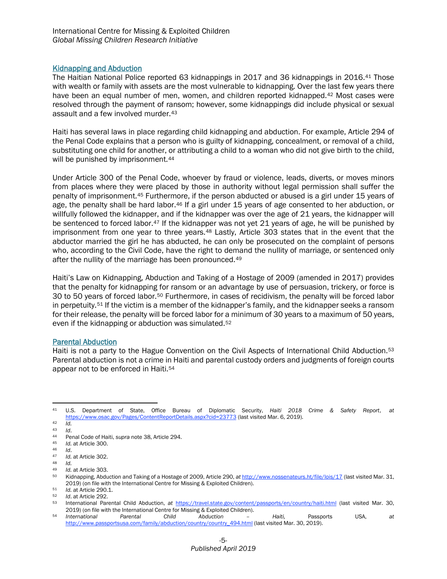# Kidnapping and Abduction

The Haitian National Police reported 63 kidnappings in 2017 and 36 kidnappings in 2016.[41](#page-4-0) Those with wealth or family with assets are the most vulnerable to kidnapping. Over the last few years there have been an equal number of men, women, and children reported kidnapped.<sup>[42](#page-4-1)</sup> Most cases were resolved through the payment of ransom; however, some kidnappings did include physical or sexual assault and a few involved murder.[43](#page-4-2)

Haiti has several laws in place regarding child kidnapping and abduction. For example, Article 294 of the Penal Code explains that a person who is guilty of kidnapping, concealment, or removal of a child, substituting one child for another, or attributing a child to a woman who did not give birth to the child, will be punished by imprisonment.<sup>[44](#page-4-3)</sup>

Under Article 300 of the Penal Code, whoever by fraud or violence, leads, diverts, or moves minors from places where they were placed by those in authority without legal permission shall suffer the penalty of imprisonment.[45](#page-4-4) Furthermore, if the person abducted or abused is a girl under 15 years of age, the penalty shall be hard labor.<sup>[46](#page-4-5)</sup> If a girl under 15 years of age consented to her abduction, or willfully followed the kidnapper, and if the kidnapper was over the age of 21 years, the kidnapper will be sentenced to forced labor.<sup>[47](#page-4-6)</sup> If the kidnapper was not yet 21 years of age, he will be punished by imprisonment from one year to three years.[48](#page-4-7) Lastly, Article 303 states that in the event that the abductor married the girl he has abducted, he can only be prosecuted on the complaint of persons who, according to the Civil Code, have the right to demand the nullity of marriage, or sentenced only after the nullity of the marriage has been pronounced.[49](#page-4-8)

Haiti's Law on Kidnapping, Abduction and Taking of a Hostage of 2009 (amended in 2017) provides that the penalty for kidnapping for ransom or an advantage by use of persuasion, trickery, or force is 30 to 50 years of forced labor.[50](#page-4-9) Furthermore, in cases of recidivism, the penalty will be forced labor in perpetuity.[51](#page-4-10) If the victim is a member of the kidnapper's family, and the kidnapper seeks a ransom for their release, the penalty will be forced labor for a minimum of 30 years to a maximum of 50 years, even if the kidnapping or abduction was simulated.[52](#page-4-11)

# Parental Abduction

Haiti is not a party to the Hague Convention on the Civil Aspects of International Child Abduction.[53](#page-4-12) Parental abduction is not a crime in Haiti and parental custody orders and judgments of foreign courts appear not to be enforced in Haiti.<sup>[54](#page-4-13)</sup>

<span id="page-4-0"></span> $41$ <sup>41</sup> U.S. Department of State, Office Bureau of Diplomatic Security, *Haiti 2018 Crime & Safety Report*, *at*  <https://www.osac.gov/Pages/ContentReportDetails.aspx?cid=23773> (last visited Mar. 6, 2019).

<span id="page-4-1"></span> $\frac{42}{43}$  *Id.* 

<span id="page-4-3"></span><span id="page-4-2"></span><sup>43</sup> *Id*. 44 Penal Code of Haiti, *supra* note 38, Article 294.

<span id="page-4-4"></span><sup>45</sup> *Id.* at Article 300. 46 *Id*.

<span id="page-4-5"></span>

<span id="page-4-6"></span><sup>47</sup> *Id.* at Article 302.

<sup>48</sup> *Id.*

<span id="page-4-8"></span><span id="page-4-7"></span><sup>49</sup> *Id.* at Article 303.

<span id="page-4-9"></span><sup>50</sup> Kidnapping, Abduction and Taking of a Hostage of 2009, Article 290, *at* <http://www.nossenateurs.ht/file/lois/17> (last visited Mar. 31, 2019) (on file with the International Centre for Missing & Exploited Children).

<span id="page-4-11"></span><span id="page-4-10"></span><sup>&</sup>lt;sup>51</sup> *Id.* at Article 290.1.<br><sup>52</sup> *Id.* at Article 292.

<span id="page-4-12"></span><sup>53</sup> International Parental Child Abduction, *at* <https://travel.state.gov/content/passports/en/country/haiti.html> (last visited Mar. 30, 2019) (on file with the International Centre for Missing & Exploited Children). 54 *International Parental Child Abduction – Haiti,* Passports USA, *at* 

<span id="page-4-13"></span>[http://www.passportsusa.com/family/abduction/country/country\\_494.html](http://www.passportsusa.com/family/abduction/country/country_494.html) (last visited Mar. 30, 2019).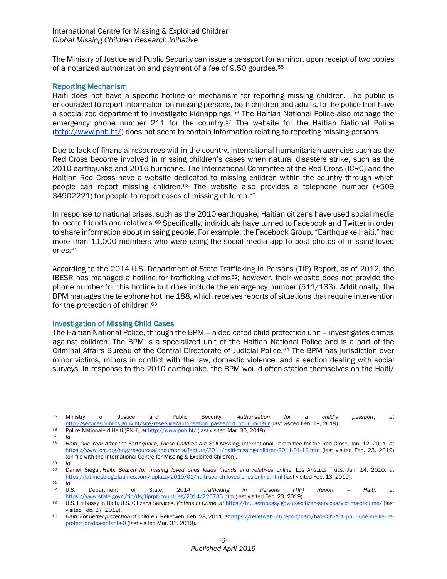The Ministry of Justice and Public Security can issue a passport for a minor, upon receipt of two copies of a notarized authorization and payment of a fee of 9.50 gourdes.<sup>[55](#page-5-0)</sup>

## Reporting Mechanism

Haiti does not have a specific hotline or mechanism for reporting missing children. The public is encouraged to report information on missing persons, both children and adults, to the police that have a specialized department to investigate kidnappings.[56](#page-5-1) The Haitian National Police also manage the emergency phone number 211 for the country.<sup>[57](#page-5-2)</sup> The website for the Haitian National Police [\(http://www.pnh.ht/\)](http://www.pnh.ht/) does not seem to contain information relating to reporting missing persons.

Due to lack of financial resources within the country, international humanitarian agencies such as the Red Cross become involved in missing children's cases when natural disasters strike, such as the 2010 earthquake and 2016 hurricane. The International Committee of the Red Cross (ICRC) and the Haitian Red Cross have a website dedicated to missing children within the country through which people can report missing children.[58](#page-5-3) The website also provides a telephone number (+509 34902221) for people to report cases of missing children.[59](#page-5-4)

In response to national crises, such as the 2010 earthquake, Haitian citizens have used social media to locate friends and relatives.<sup>[60](#page-5-5)</sup> Specifically, individuals have turned to Facebook and Twitter in order to share information about missing people. For example, the Facebook Group, "Earthquake Haiti," had more than 11,000 members who were using the social media app to post photos of missing loved ones.[61](#page-5-6)

According to the 2014 U.S. Department of State Trafficking in Persons (TIP) Report, as of 2012, the IBESR has managed a hotline for trafficking victims $62$ ; however, their website does not provide the phone number for this hotline but does include the emergency number (511/133). Additionally, the BPM manages the telephone hotline 188, which receives reports of situations that require intervention for the protection of children.[63](#page-5-8)

# Investigation of Missing Child Cases

The Haitian National Police, through the BPM – a dedicated child protection unit – investigates crimes against children. The BPM is a specialized unit of the Haitian National Police and is a part of the Criminal Affairs Bureau of the Central Directorate of Judicial Police.[64](#page-5-9) The BPM has jurisdiction over minor victims, minors in conflict with the law, domestic violence, and a section dealing with social surveys. In response to the 2010 earthquake, the BPM would often station themselves on the Haiti/

 $\overline{\phantom{a}}$ 

<span id="page-5-5"></span><span id="page-5-4"></span>

<span id="page-5-0"></span><sup>55</sup> Ministry of Justice and Public Security, *Authorisation for a child's passport*, *at* [http://servicespublics.gouv.ht/site/rsservice/autorisation\\_passeport\\_pour\\_mineur](http://servicespublics.gouv.ht/site/rsservice/autorisation_passeport_pour_mineur) (last visited Feb. 19, 2019). <sup>56</sup> Police Nationale d Haiti (PNH), *at* <http://www.pnh.ht/> (last visited Mar. 30, 2019).

<span id="page-5-3"></span><span id="page-5-2"></span><span id="page-5-1"></span><sup>57</sup> *Id.* <sup>58</sup> *Haiti: One Year After the Earthquake, These Children are Still Missing,* International Committee for the Red Cross, Jan. 12, 2011, *at*  <https://www.icrc.org/eng/resources/documents/feature/2011/haiti-missing-children-2011-01-12.htm>(last visited Feb. 23, 2019) (on file with the International Centre for Missing & Exploited Children).<br>
Id.<br>
Daniel Siegal Haiti: Search for missing Joyed ones Jeads friends

<sup>60</sup> Daniel Siegal, *Haiti: Search for missing loved ones leads friends and relatives online,* LOS ANGELES TIMES, Jan. 14, 2010, *at*  <https://latimesblogs.latimes.com/laplaza/2010/01/haiti-search-loved-ones-online.html> (last visited Feb. 13, 2019).

<span id="page-5-6"></span><sup>61</sup> *Id.*

<span id="page-5-7"></span><sup>62</sup> U.S. Department of State, *2014 Trafficking in Persons (TIP) Report – Haiti, at*  <https://www.state.gov/j/tip/rls/tiprpt/countries/2014/226735.htm> (last visited Feb. 23, 2019).

<span id="page-5-8"></span><sup>63</sup> U.S. Embassy in Haiti, U.S. Citizens Services, *Victims of Crime*, *at* <https://ht.usembassy.gov/u-s-citizen-services/victims-of-crime/> (last visited Feb. 27, 2019).

<span id="page-5-9"></span><sup>64</sup> *Haiti: For better protection of children*, Reliefweb, Feb. 28, 2011, *at* [https://reliefweb.int/report/haiti/ha%C3%AFti-pour-une-meilleure](https://reliefweb.int/report/haiti/ha%C3%AFti-pour-une-meilleure-protection-des-enfants-0)[protection-des-enfants-0](https://reliefweb.int/report/haiti/ha%C3%AFti-pour-une-meilleure-protection-des-enfants-0) (last visited Mar. 31, 2019).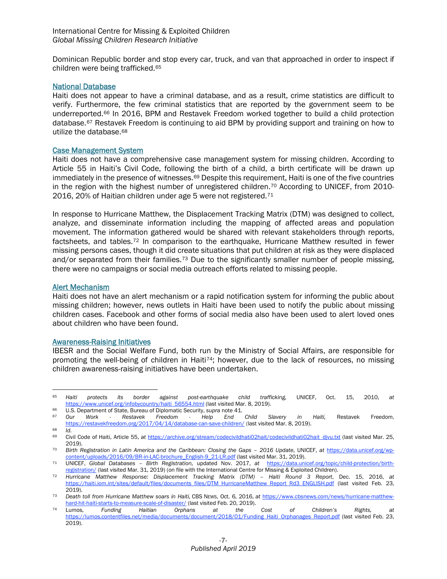Dominican Republic border and stop every car, truck, and van that approached in order to inspect if children were being trafficked.[65](#page-6-0)

#### National Database

Haiti does not appear to have a criminal database, and as a result, crime statistics are difficult to verify. Furthermore, the few criminal statistics that are reported by the government seem to be underreported.[66](#page-6-1) In 2016, BPM and Restavek Freedom worked together to build a child protection database.[67](#page-6-2) Restavek Freedom is continuing to aid BPM by providing support and training on how to utilize the database.[68](#page-6-3)

## Case Management System

Haiti does not have a comprehensive case management system for missing children. According to Article 55 in Haiti's Civil Code, following the birth of a child, a birth certificate will be drawn up immediately in the presence of witnesses.<sup>[69](#page-6-4)</sup> Despite this requirement, Haiti is one of the five countries in the region with the highest number of unregistered children.<sup>[70](#page-6-5)</sup> According to UNICEF, from 2010-2016, 20% of Haitian children under age 5 were not registered[.71](#page-6-6)

In response to Hurricane Matthew, the Displacement Tracking Matrix (DTM) was designed to collect, analyze, and disseminate information including the mapping of affected areas and population movement. The information gathered would be shared with relevant stakeholders through reports, factsheets, and tables[.72](#page-6-7) In comparison to the earthquake, Hurricane Matthew resulted in fewer missing persons cases, though it did create situations that put children at risk as they were displaced and/or separated from their families.<sup>73</sup> Due to the significantly smaller number of people missing, there were no campaigns or social media outreach efforts related to missing people.

## Alert Mechanism

Haiti does not have an alert mechanism or a rapid notification system for informing the public about missing children; however, news outlets in Haiti have been used to notify the public about missing children cases. Facebook and other forms of social media also have been used to alert loved ones about children who have been found.

#### Awareness-Raising Initiatives

IBESR and the Social Welfare Fund, both run by the Ministry of Social Affairs, are responsible for promoting the well-being of children in Haiti[74](#page-6-9); however, due to the lack of resources, no missing children awareness-raising initiatives have been undertaken.

l

<span id="page-6-0"></span><sup>65</sup> *Haiti protects its border against post-earthquake child trafficking,* UNICEF, Oct. 15, 2010, *at* https://www.unicef.org/infobycountry/haiti\_56554.html (last visited Mar. 8, 2019).

<span id="page-6-1"></span><sup>66</sup> U.S. Department of State, Bureau of Diplomatic Security, *supra* note 41.

<span id="page-6-2"></span><sup>67</sup> *Our Work - Restavek Freedom - Help End Child Slavery in Haiti,* Restavek Freedom, https://restavekfreedom.org/2017/04/14/database-can-save-children/ (last visited Mar. 8, 2019). 68 *Id.*

<span id="page-6-3"></span>

<span id="page-6-4"></span><sup>69</sup> Civil Code of Haiti, Article 55, at [https://archive.org/stream/codecivildhati02hait/codecivildhati02hait\\_djvu.txt](https://archive.org/stream/codecivildhati02hait/codecivildhati02hait_djvu.txt) (last visited Mar. 25, 2019).

<span id="page-6-5"></span><sup>70</sup> *Birth Registration in Latin America and the Caribbean: Closing the Gaps – 2016 Update*, UNICEF, *at* [https://data.unicef.org/wp](https://data.unicef.org/wp-content/uploads/2016/09/BR-in-LAC-brochure_English-9_21-LR.pdf)[content/uploads/2016/09/BR-in-LAC-brochure\\_English-9\\_21-LR.pdf](https://data.unicef.org/wp-content/uploads/2016/09/BR-in-LAC-brochure_English-9_21-LR.pdf) (last visited Mar. 31, 2019).

<span id="page-6-6"></span><sup>71</sup> UNICEF, *Global Databases – Birth Registration,* updated Nov. 2017, *at* [https://data.unicef.org/topic/child-protection/birth](https://data.unicef.org/topic/child-protection/birth-registration/)[registration/](https://data.unicef.org/topic/child-protection/birth-registration/) (last visited Mar. 31, 2019) (on file with the International Centre for Missing & Exploited Children).

<span id="page-6-7"></span><sup>72</sup> *Hurricane Matthew Response: Displacement Tracking Matrix (DTM) – Haiti Round 3 Report*, Dec. 15, 2016, *at*  [https://haiti.iom.int/sites/default/files/documents\\_files/DTM\\_HurricaneMatthew\\_Report\\_Rd3\\_ENGLISH.pdf](https://haiti.iom.int/sites/default/files/documents_files/DTM_HurricaneMatthew_Report_Rd3_ENGLISH.pdf) (last visited Feb. 23, 2019).

<span id="page-6-8"></span><sup>73</sup> *Death toll from Hurricane Matthew soars in Haiti,* CBS NEWS, Oct. 6, 2016, *at* [https://www.cbsnews.com/news/hurricane-matthew](https://www.cbsnews.com/news/hurricane-matthew-hard-hit-haiti-starts-to-measure-scale-of-disaster/)[hard-hit-haiti-starts-to-measure-scale-of-disaster/](https://www.cbsnews.com/news/hurricane-matthew-hard-hit-haiti-starts-to-measure-scale-of-disaster/) (last visited Feb. 20, 2019).<br>
Lumos, Funding Haitian Orphans at the

<span id="page-6-9"></span><sup>74</sup> Lumos, *Funding Haitian Orphans at the Cost of Children's Rights, at* [https://lumos.contentfiles.net/media/documents/document/2018/01/Funding\\_Haiti\\_Orphanages\\_Report.pdf](https://lumos.contentfiles.net/media/documents/document/2018/01/Funding_Haiti_Orphanages_Report.pdf) (last visited Feb. 23, 2019).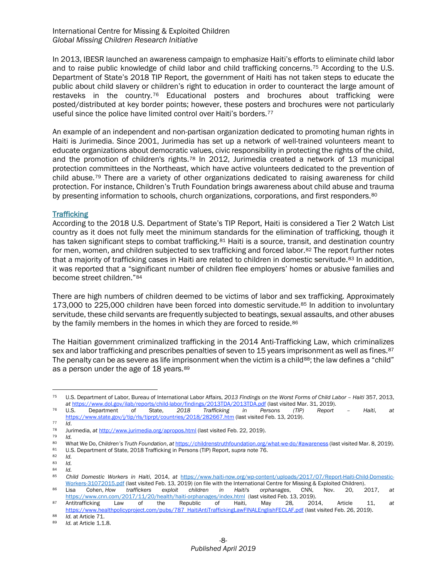# International Centre for Missing & Exploited Children *Global Missing Children Research Initiative*

In 2013, IBESR launched an awareness campaign to emphasize Haiti's efforts to eliminate child labor and to raise public knowledge of child labor and child trafficking concerns.<sup>75</sup> According to the U.S. Department of State's 2018 TIP Report, the government of Haiti has not taken steps to educate the public about child slavery or children's right to education in order to counteract the large amount of restaveks in the country.[76](#page-7-1) Educational posters and brochures about trafficking were posted/distributed at key border points; however, these posters and brochures were not particularly useful since the police have limited control over Haiti's borders.<sup>[77](#page-7-2)</sup>

An example of an independent and non-partisan organization dedicated to promoting human rights in Haiti is Jurimedia. Since 2001, Jurimedia has set up a network of well-trained volunteers meant to educate organizations about democratic values, civic responsibility in protecting the rights of the child, and the promotion of children's rights.<sup>[78](#page-7-3)</sup> In 2012, Jurimedia created a network of 13 municipal protection committees in the Northeast, which have active volunteers dedicated to the prevention of child abuse.[79](#page-7-4) There are a variety of other organizations dedicated to raising awareness for child protection. For instance, Children's Truth Foundation brings awareness about child abuse and trauma by presenting information to schools, church organizations, corporations, and first responders.<sup>[80](#page-7-5)</sup>

# **Trafficking**

According to the 2018 U.S. Department of State's TIP Report, Haiti is considered a Tier 2 Watch List country as it does not fully meet the minimum standards for the elimination of trafficking, though it has taken significant steps to combat trafficking.<sup>[81](#page-7-6)</sup> Haiti is a source, transit, and destination country for men, women, and children subjected to sex trafficking and forced labor.<sup>[82](#page-7-7)</sup> The report further notes that a majority of trafficking cases in Haiti are related to children in domestic servitude.<sup>[83](#page-7-8)</sup> In addition, it was reported that a "significant number of children flee employers' homes or abusive families and become street children."[84](#page-7-9)

There are high numbers of children deemed to be victims of labor and sex trafficking. Approximately 173,000 to 225,000 children have been forced into domestic servitude.[85](#page-7-10) In addition to involuntary servitude, these child servants are frequently subjected to beatings, sexual assaults, and other abuses by the family members in the homes in which they are forced to reside.<sup>[86](#page-7-11)</sup>

The Haitian government criminalized trafficking in the 2014 Anti-Trafficking Law, which criminalizes sex and labor trafficking and prescribes penalties of seven to 15 years imprisonment as well as fines.<sup>[87](#page-7-12)</sup> The penalty can be as severe as life imprisonment when the victim is a child<sup>88</sup>; the law defines a "child" as a person under the age of 18 years.<sup>[89](#page-7-14)</sup>

<span id="page-7-0"></span>l <sup>75</sup> U.S. Department of Labor, Bureau of International Labor Affairs, *2013 Findings on the Worst Forms of Child Labor – Haiti* 357, 2013, *at* <https://www.dol.gov/ilab/reports/child-labor/findings/2013TDA/2013TDA.pdf> (last visited Mar. 31, 2019).

<span id="page-7-1"></span><sup>76</sup> U.S. Department of State, *2018 Trafficking in Persons (TIP) Report – Haiti*, *at*  <https://www.state.gov/j/tip/rls/tiprpt/countries/2018/282667.htm> (last visited Feb. 13, 2019).

<span id="page-7-3"></span><span id="page-7-2"></span> $\frac{77}{78}$  *Id.* 

<sup>78</sup> Jurimedia, *at* <http://www.jurimedia.org/apropos.html> (last visited Feb. 22, 2019).

<span id="page-7-4"></span><sup>79</sup> *Id.*

<span id="page-7-5"></span><sup>80</sup> What We Do, Children's Truth Foundation, at https://childrenstruthfoundation.org/what-we-do/#awareness (last visited Mar. 8, 2019).<br>81 U.S. Department of State, 2018 Trafficking in Persons (TIP) Report, supra note 76.

<span id="page-7-6"></span>

<span id="page-7-7"></span><sup>82</sup> *Id.*

<span id="page-7-8"></span><sup>83</sup> *Id.*

<span id="page-7-10"></span><span id="page-7-9"></span> $\frac{84}{85}$  *Id.* 85 *Child Domestic Workers in Haiti*, 2014, *at* [https://www.haiti-now.org/wp-content/uploads/2017/07/Report-Haiti-Child-Domestic-](https://www.haiti-now.org/wp-content/uploads/2017/07/Report-Haiti-Child-Domestic-Workers-31072015.pdf)[Workers-31072015.pdf](https://www.haiti-now.org/wp-content/uploads/2017/07/Report-Haiti-Child-Domestic-Workers-31072015.pdf) (last visited Feb. 13, 2019) (on file with the International Centre for Missing & Exploited Children).<br>Lisa Cohen, How traffickers exploit children in Haiti's orphanages, CNN, Nov. 20, 2017,

<span id="page-7-11"></span><sup>86</sup> Lisa Cohen, *How traffickers exploit children in Haiti's orphanages*, CNN, Nov. 20, 2017, *at*  <https://www.cnn.com/2017/11/20/health/haiti-orphanages/index.html>(last visited Feb. 13, 2019).<br>Antitrafficking Law of the Republic of Haiti, May 28, 2014,

<span id="page-7-12"></span><sup>87</sup> Antitrafficking Law of the Republic of Haiti, May 28, 2014, Article 11, *at* [https://www.healthpolicyproject.com/pubs/787\\_HaitiAntiTraffickingLawFINALEnglishFECLAF.pdf](https://www.healthpolicyproject.com/pubs/787_HaitiAntiTraffickingLawFINALEnglishFECLAF.pdf) (last visited Feb. 26, 2019). <sup>88</sup> *Id.* at Article 71.

<span id="page-7-14"></span><span id="page-7-13"></span>*Id.* at Article 1.1.8.